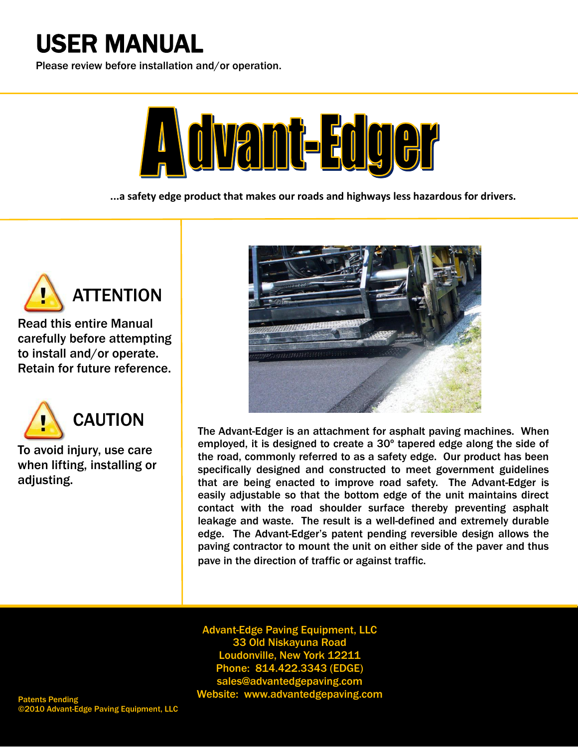# USER MANUAL

i<br>I Please review before installation and/or operation.



**...a safety edge product that makes our roads and highways less hazardous for drivers.**



 $\overline{a}$ 

Ī

Read this entire Manual carefully before attempting to install and/or operate.<br>Potain for future reference Retain for future reference.



Ī

To avoid injury, use care<br>when lifting, installing or when men<br>adjusting. when lifting, installing or



The Advant-Edger is an attachment for asphalt paving machines. When employed, it is designed to create a 30º tapered edge along the side of the road, commonly referred to as a safety edge. Our product has been specifically designed and constructed to meet government guidelines that are being enacted to improve road safety. The Advant-Edger is easily adjustable so that the bottom edge of the unit maintains direct contact with the road shoulder surface thereby preventing asphalt leakage and waste. The result is a well-defined and extremely durable edge. The Advant-Edger's patent pending reversible design allows the paving contractor to mount the unit on either side of the paver and thus pave in the direction of traffic or against traffic.

**33 Old Niskayuna Road<br>Idonyille New York 122** Advant-Edge Paving Equipment, LLC Loudonville, New York 12211 Phone: 814.422.3343 (EDGE) sales@advantedgepaving.com Patents Pending **Nebsite:** Website: www.advantedgepaving.com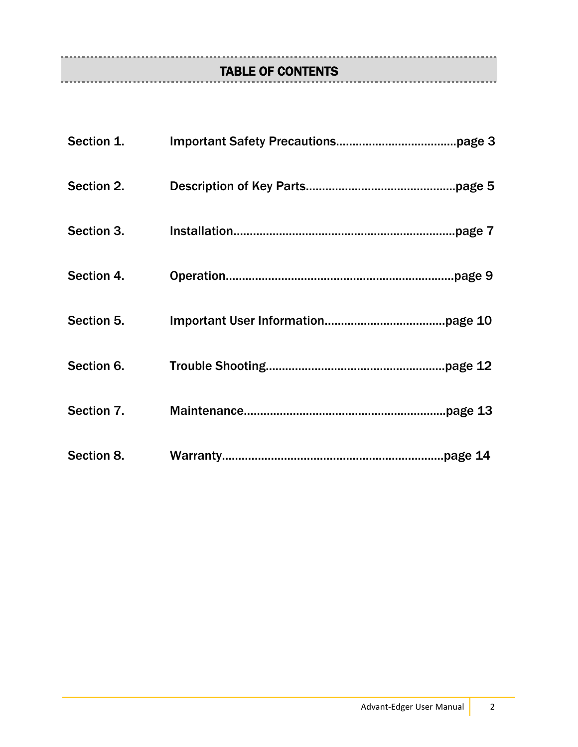# TABLE OF CONTENTS

| Section 1. |          |
|------------|----------|
| Section 2. | page 5.  |
| Section 3. | page 7.  |
| Section 4. |          |
| Section 5. |          |
| Section 6. | page 12. |
| Section 7. | .page 13 |
| Section 8. |          |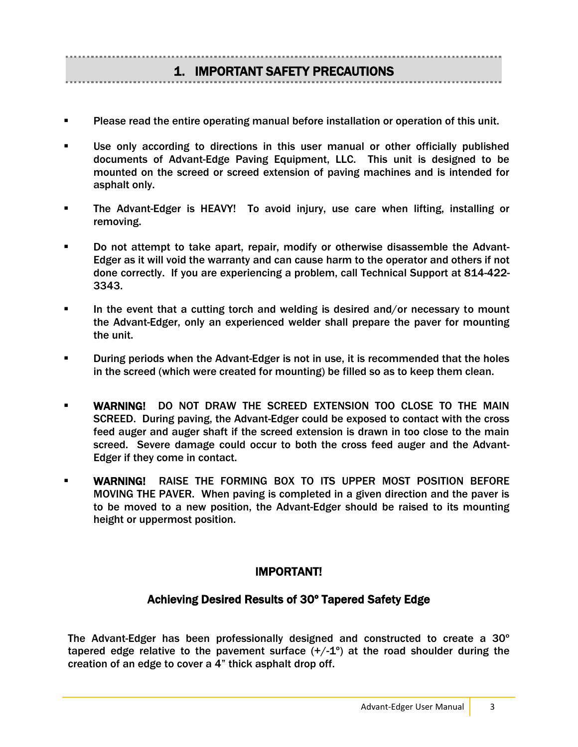## 1. IMPORTANT SAFETY PRECAUTIONS

- Please read the entire operating manual before installation or operation of this unit.
- Use only according to directions in this user manual or other officially published documents of Advant-Edge Paving Equipment, LLC. This unit is designed to be mounted on the screed or screed extension of paving machines and is intended for asphalt only.
- The Advant-Edger is HEAVY! To avoid injury, use care when lifting, installing or removing.
- Do not attempt to take apart, repair, modify or otherwise disassemble the Advant-Edger as it will void the warranty and can cause harm to the operator and others if not done correctly. If you are experiencing a problem, call Technical Support at 814-422- 3343.
- In the event that a cutting torch and welding is desired and/or necessary to mount the Advant-Edger, only an experienced welder shall prepare the paver for mounting the unit.
- During periods when the Advant-Edger is not in use, it is recommended that the holes in the screed (which were created for mounting) be filled so as to keep them clean.
- WARNING! DO NOT DRAW THE SCREED EXTENSION TOO CLOSE TO THE MAIN SCREED. During paving, the Advant-Edger could be exposed to contact with the cross feed auger and auger shaft if the screed extension is drawn in too close to the main screed. Severe damage could occur to both the cross feed auger and the Advant-Edger if they come in contact.
- WARNING! RAISE THE FORMING BOX TO ITS UPPER MOST POSITION BEFORE MOVING THE PAVER. When paving is completed in a given direction and the paver is to be moved to a new position, the Advant-Edger should be raised to its mounting height or uppermost position.

#### IMPORTANT!

#### Achieving Desired Results of 30º Tapered Safety Edge

The Advant-Edger has been professionally designed and constructed to create a 30º tapered edge relative to the pavement surface  $(+/-1^{\circ})$  at the road shoulder during the creation of an edge to cover a 4" thick asphalt drop off.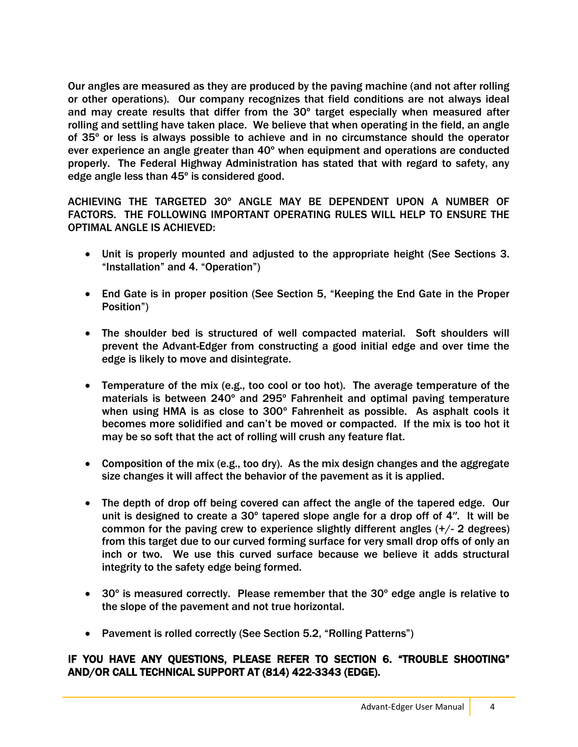Our angles are measured as they are produced by the paving machine (and not after rolling or other operations). Our company recognizes that field conditions are not always ideal and may create results that differ from the 30º target especially when measured after rolling and settling have taken place. We believe that when operating in the field, an angle of 35º or less is always possible to achieve and in no circumstance should the operator ever experience an angle greater than 40º when equipment and operations are conducted properly. The Federal Highway Administration has stated that with regard to safety, any edge angle less than 45º is considered good.

ACHIEVING THE TARGETED 30º ANGLE MAY BE DEPENDENT UPON A NUMBER OF FACTORS. THE FOLLOWING IMPORTANT OPERATING RULES WILL HELP TO ENSURE THE OPTIMAL ANGLE IS ACHIEVED:

- Unit is properly mounted and adjusted to the appropriate height (See Sections 3. "Installation" and 4. "Operation")
- End Gate is in proper position (See Section 5, "Keeping the End Gate in the Proper Position")
- The shoulder bed is structured of well compacted material. Soft shoulders will prevent the Advant-Edger from constructing a good initial edge and over time the edge is likely to move and disintegrate.
- Temperature of the mix (e.g., too cool or too hot). The average temperature of the materials is between 240º and 295º Fahrenheit and optimal paving temperature when using HMA is as close to 300º Fahrenheit as possible. As asphalt cools it becomes more solidified and can't be moved or compacted. If the mix is too hot it may be so soft that the act of rolling will crush any feature flat.
- Composition of the mix (e.g., too dry). As the mix design changes and the aggregate size changes it will affect the behavior of the pavement as it is applied.
- The depth of drop off being covered can affect the angle of the tapered edge. Our unit is designed to create a  $30^{\circ}$  tapered slope angle for a drop off of 4". It will be common for the paving crew to experience slightly different angles (+/- 2 degrees) from this target due to our curved forming surface for very small drop offs of only an inch or two. We use this curved surface because we believe it adds structural integrity to the safety edge being formed.
- 30º is measured correctly. Please remember that the 30º edge angle is relative to the slope of the pavement and not true horizontal.
- Pavement is rolled correctly (See Section 5.2, "Rolling Patterns")

#### IF YOU HAVE ANY QUESTIONS, PLEASE REFER TO SECTION 6. "TROUBLE SHOOTING" AND/OR CALL TECHNICAL SUPPORT AT (814) 422-3343 (EDGE).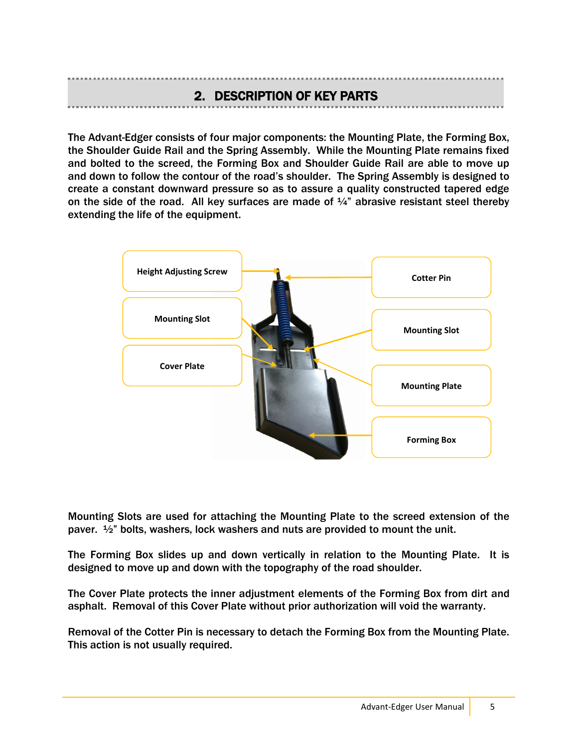#### 2. DESCRIPTION OF KEY PARTS

The Advant-Edger consists of four major components: the Mounting Plate, the Forming Box, the Shoulder Guide Rail and the Spring Assembly. While the Mounting Plate remains fixed and bolted to the screed, the Forming Box and Shoulder Guide Rail are able to move up and down to follow the contour of the road's shoulder. The Spring Assembly is designed to create a constant downward pressure so as to assure a quality constructed tapered edge on the side of the road. All key surfaces are made of  $\frac{1}{4}$ " abrasive resistant steel thereby extending the life of the equipment.



Mounting Slots are used for attaching the Mounting Plate to the screed extension of the paver.  $\frac{1}{2}$ " bolts, washers, lock washers and nuts are provided to mount the unit.

The Forming Box slides up and down vertically in relation to the Mounting Plate. It is designed to move up and down with the topography of the road shoulder.

The Cover Plate protects the inner adjustment elements of the Forming Box from dirt and asphalt. Removal of this Cover Plate without prior authorization will void the warranty.

Removal of the Cotter Pin is necessary to detach the Forming Box from the Mounting Plate. This action is not usually required.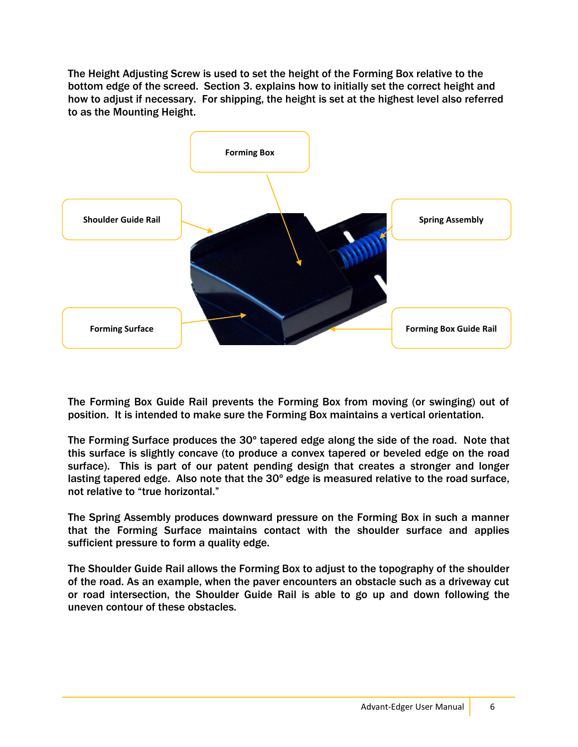The Height Adjusting Screw is used to set the height of the Forming Box relative to the bottom edge of the screed. Section 3. explains how to initially set the correct height and how to adjust if necessary. For shipping, the height is set at the highest level also referred to as the Mounting Height.



The Forming Box Guide Rail prevents the Forming Box from moving (or swinging) out of position. It is intended to make sure the Forming Box maintains a vertical orientation.

The Forming Surface produces the 30º tapered edge along the side of the road. Note that this surface is slightly concave (to produce a convex tapered or beveled edge on the road surface). This is part of our patent pending design that creates a stronger and longer lasting tapered edge. Also note that the 30º edge is measured relative to the road surface, not relative to "true horizontal."

The Spring Assembly produces downward pressure on the Forming Box in such a manner that the Forming Surface maintains contact with the shoulder surface and applies sufficient pressure to form a quality edge.

The Shoulder Guide Rail allows the Forming Box to adjust to the topography of the shoulder of the road. As an example, when the paver encounters an obstacle such as a driveway cut or road intersection, the Shoulder Guide Rail is able to go up and down following the uneven contour of these obstacles.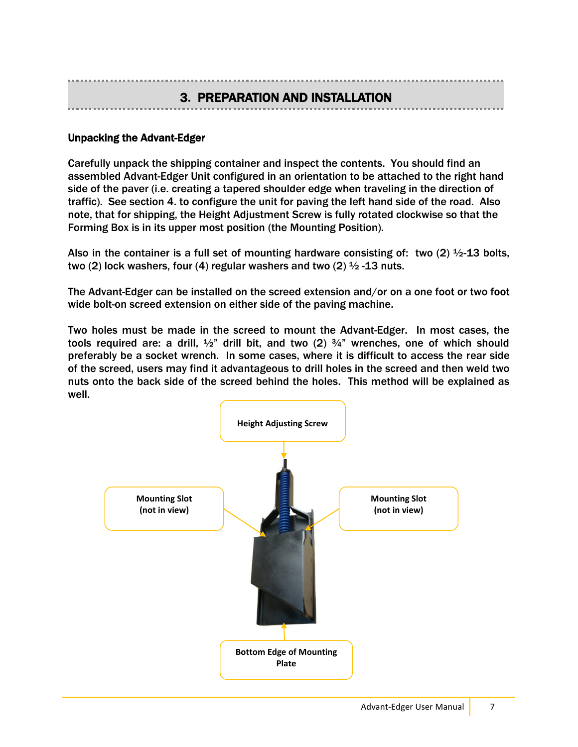### 3**.** PREPARATION AND INSTALLATION

#### Unpacking the Advant-Edger

Carefully unpack the shipping container and inspect the contents. You should find an assembled Advant-Edger Unit configured in an orientation to be attached to the right hand side of the paver (i.e. creating a tapered shoulder edge when traveling in the direction of traffic). See section 4. to configure the unit for paving the left hand side of the road. Also note, that for shipping, the Height Adjustment Screw is fully rotated clockwise so that the Forming Box is in its upper most position (the Mounting Position).

Also in the container is a full set of mounting hardware consisting of: two (2)  $\frac{1}{2}$ -13 bolts, two (2) lock washers, four (4) regular washers and two (2)  $\frac{1}{2}$  -13 nuts.

The Advant-Edger can be installed on the screed extension and/or on a one foot or two foot wide bolt-on screed extension on either side of the paving machine.

Two holes must be made in the screed to mount the Advant-Edger. In most cases, the tools required are: a drill,  $\frac{1}{2}$ " drill bit, and two (2)  $\frac{3}{4}$ " wrenches, one of which should preferably be a socket wrench. In some cases, where it is difficult to access the rear side of the screed, users may find it advantageous to drill holes in the screed and then weld two nuts onto the back side of the screed behind the holes. This method will be explained as well.

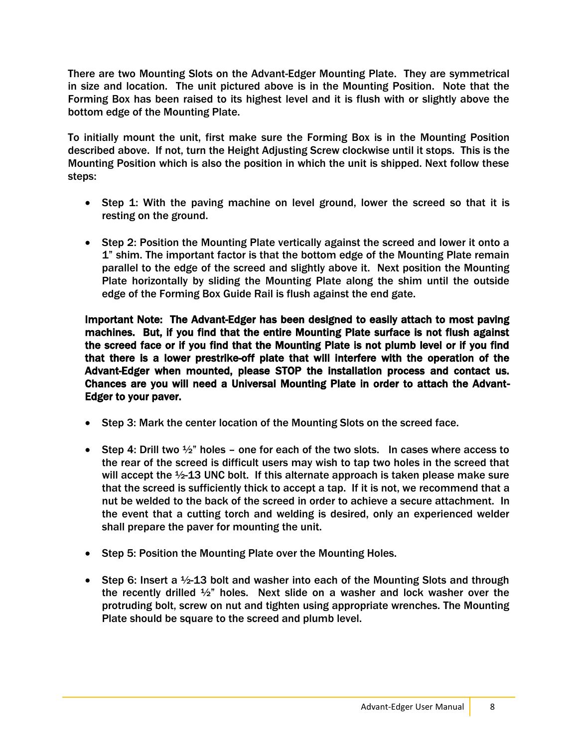There are two Mounting Slots on the Advant-Edger Mounting Plate. They are symmetrical in size and location. The unit pictured above is in the Mounting Position. Note that the Forming Box has been raised to its highest level and it is flush with or slightly above the bottom edge of the Mounting Plate.

To initially mount the unit, first make sure the Forming Box is in the Mounting Position described above. If not, turn the Height Adjusting Screw clockwise until it stops. This is the Mounting Position which is also the position in which the unit is shipped. Next follow these steps:

- Step 1: With the paving machine on level ground, lower the screed so that it is resting on the ground.
- Step 2: Position the Mounting Plate vertically against the screed and lower it onto a 1" shim. The important factor is that the bottom edge of the Mounting Plate remain parallel to the edge of the screed and slightly above it. Next position the Mounting Plate horizontally by sliding the Mounting Plate along the shim until the outside edge of the Forming Box Guide Rail is flush against the end gate.

Important Note: The Advant-Edger has been designed to easily attach to most paving machines. But, if you find that the entire Mounting Plate surface is not flush against the screed face or if you find that the Mounting Plate is not plumb level or if you find that there is a lower prestrike-off plate that will interfere with the operation of the Advant-Edger when mounted, please STOP the installation process and contact us. Chances are you will need a Universal Mounting Plate in order to attach the Advant-Edger to your paver.

- Step 3: Mark the center location of the Mounting Slots on the screed face.
- Step 4: Drill two  $\frac{1}{2}$ " holes one for each of the two slots. In cases where access to the rear of the screed is difficult users may wish to tap two holes in the screed that will accept the ½-13 UNC bolt. If this alternate approach is taken please make sure that the screed is sufficiently thick to accept a tap. If it is not, we recommend that a nut be welded to the back of the screed in order to achieve a secure attachment. In the event that a cutting torch and welding is desired, only an experienced welder shall prepare the paver for mounting the unit.
- Step 5: Position the Mounting Plate over the Mounting Holes.
- Step 6: Insert a  $\frac{1}{2}$ -13 bolt and washer into each of the Mounting Slots and through the recently drilled ½" holes. Next slide on a washer and lock washer over the protruding bolt, screw on nut and tighten using appropriate wrenches. The Mounting Plate should be square to the screed and plumb level.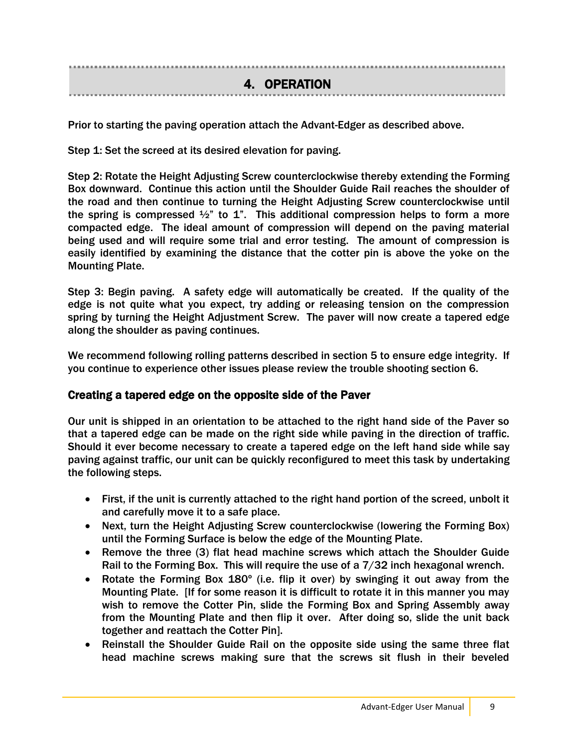4. OPERATION

Prior to starting the paving operation attach the Advant-Edger as described above.

Step 1: Set the screed at its desired elevation for paving.

Step 2: Rotate the Height Adjusting Screw counterclockwise thereby extending the Forming Box downward. Continue this action until the Shoulder Guide Rail reaches the shoulder of the road and then continue to turning the Height Adjusting Screw counterclockwise until the spring is compressed  $\frac{1}{2}$ " to 1". This additional compression helps to form a more compacted edge. The ideal amount of compression will depend on the paving material being used and will require some trial and error testing. The amount of compression is easily identified by examining the distance that the cotter pin is above the yoke on the Mounting Plate.

Step 3: Begin paving. A safety edge will automatically be created. If the quality of the edge is not quite what you expect, try adding or releasing tension on the compression spring by turning the Height Adjustment Screw. The paver will now create a tapered edge along the shoulder as paving continues.

We recommend following rolling patterns described in section 5 to ensure edge integrity. If you continue to experience other issues please review the trouble shooting section 6.

#### Creating a tapered edge on the opposite side of the Paver

Our unit is shipped in an orientation to be attached to the right hand side of the Paver so that a tapered edge can be made on the right side while paving in the direction of traffic. Should it ever become necessary to create a tapered edge on the left hand side while say paving against traffic, our unit can be quickly reconfigured to meet this task by undertaking the following steps.

- First, if the unit is currently attached to the right hand portion of the screed, unbolt it and carefully move it to a safe place.
- Next, turn the Height Adjusting Screw counterclockwise (lowering the Forming Box) until the Forming Surface is below the edge of the Mounting Plate.
- Remove the three (3) flat head machine screws which attach the Shoulder Guide Rail to the Forming Box. This will require the use of a 7/32 inch hexagonal wrench.
- Rotate the Forming Box 180º (i.e. flip it over) by swinging it out away from the Mounting Plate. [If for some reason it is difficult to rotate it in this manner you may wish to remove the Cotter Pin, slide the Forming Box and Spring Assembly away from the Mounting Plate and then flip it over. After doing so, slide the unit back together and reattach the Cotter Pin].
- Reinstall the Shoulder Guide Rail on the opposite side using the same three flat head machine screws making sure that the screws sit flush in their beveled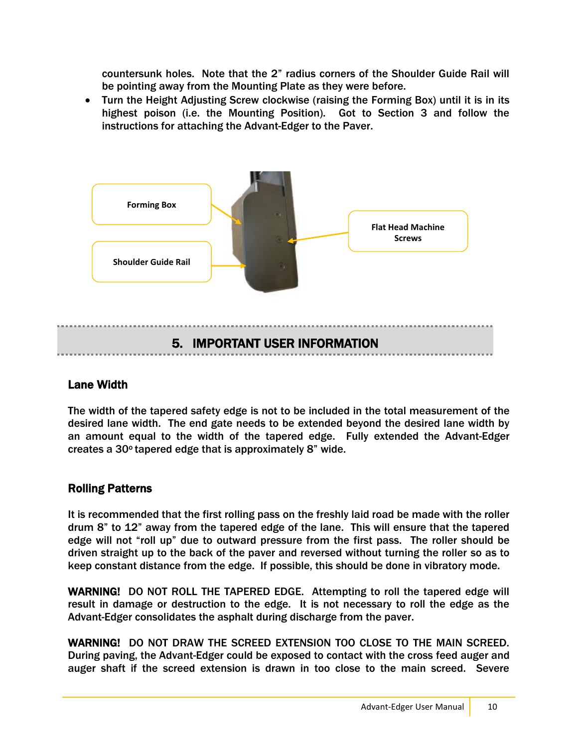countersunk holes. Note that the 2" radius corners of the Shoulder Guide Rail will be pointing away from the Mounting Plate as they were before.

 Turn the Height Adjusting Screw clockwise (raising the Forming Box) until it is in its highest poison (i.e. the Mounting Position). Got to Section 3 and follow the instructions for attaching the Advant-Edger to the Paver.



#### Lane Width

The width of the tapered safety edge is not to be included in the total measurement of the desired lane width. The end gate needs to be extended beyond the desired lane width by an amount equal to the width of the tapered edge. Fully extended the Advant-Edger creates a 30o tapered edge that is approximately 8" wide.

#### Rolling Patterns

It is recommended that the first rolling pass on the freshly laid road be made with the roller drum 8" to 12" away from the tapered edge of the lane. This will ensure that the tapered edge will not "roll up" due to outward pressure from the first pass. The roller should be driven straight up to the back of the paver and reversed without turning the roller so as to keep constant distance from the edge. If possible, this should be done in vibratory mode.

WARNING! DO NOT ROLL THE TAPERED EDGE. Attempting to roll the tapered edge will result in damage or destruction to the edge. It is not necessary to roll the edge as the Advant-Edger consolidates the asphalt during discharge from the paver.

WARNING! DO NOT DRAW THE SCREED EXTENSION TOO CLOSE TO THE MAIN SCREED. During paving, the Advant-Edger could be exposed to contact with the cross feed auger and auger shaft if the screed extension is drawn in too close to the main screed. Severe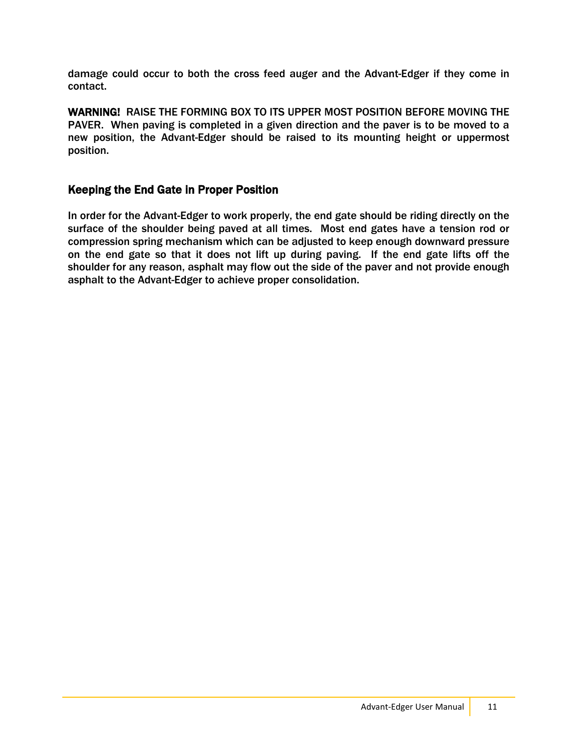damage could occur to both the cross feed auger and the Advant-Edger if they come in contact.

WARNING! RAISE THE FORMING BOX TO ITS UPPER MOST POSITION BEFORE MOVING THE PAVER. When paving is completed in a given direction and the paver is to be moved to a new position, the Advant-Edger should be raised to its mounting height or uppermost position.

#### Keeping the End Gate in Proper Position

In order for the Advant-Edger to work properly, the end gate should be riding directly on the surface of the shoulder being paved at all times. Most end gates have a tension rod or compression spring mechanism which can be adjusted to keep enough downward pressure on the end gate so that it does not lift up during paving. If the end gate lifts off the shoulder for any reason, asphalt may flow out the side of the paver and not provide enough asphalt to the Advant-Edger to achieve proper consolidation.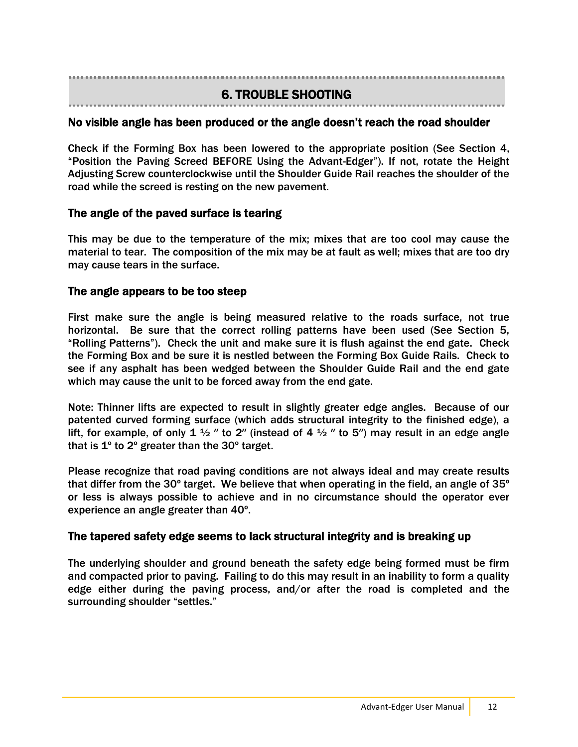## 6. TROUBLE SHOOTING

#### Ï No visible angle has been produced or the angle doesn't reach the road shoulder

Check if the Forming Box has been lowered to the appropriate position (See Section 4, "Position the Paving Screed BEFORE Using the Advant-Edger"). If not, rotate the Height Adjusting Screw counterclockwise until the Shoulder Guide Rail reaches the shoulder of the road while the screed is resting on the new pavement.

#### The angle of the paved surface is tearing

This may be due to the temperature of the mix; mixes that are too cool may cause the material to tear. The composition of the mix may be at fault as well; mixes that are too dry may cause tears in the surface.

#### The angle appears to be too steep

First make sure the angle is being measured relative to the roads surface, not true horizontal. Be sure that the correct rolling patterns have been used (See Section 5, "Rolling Patterns"). Check the unit and make sure it is flush against the end gate. Check the Forming Box and be sure it is nestled between the Forming Box Guide Rails. Check to see if any asphalt has been wedged between the Shoulder Guide Rail and the end gate which may cause the unit to be forced away from the end gate.

Note: Thinner lifts are expected to result in slightly greater edge angles. Because of our patented curved forming surface (which adds structural integrity to the finished edge), a lift, for example, of only 1  $\frac{1}{2}$  " to 2" (instead of 4  $\frac{1}{2}$  " to 5") may result in an edge angle that is 1º to 2º greater than the 30º target.

Please recognize that road paving conditions are not always ideal and may create results that differ from the 30 $^{\circ}$  target. We believe that when operating in the field, an angle of 35 $^{\circ}$ or less is always possible to achieve and in no circumstance should the operator ever experience an angle greater than 40º.

#### The tapered safety edge seems to lack structural integrity and is breaking up

The underlying shoulder and ground beneath the safety edge being formed must be firm and compacted prior to paving. Failing to do this may result in an inability to form a quality edge either during the paving process, and/or after the road is completed and the surrounding shoulder "settles."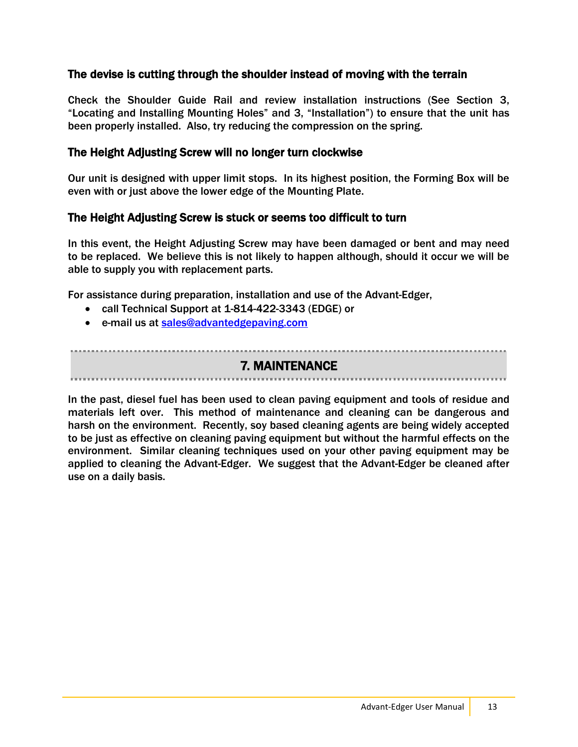#### The devise is cutting through the shoulder instead of moving with the terrain

Check the Shoulder Guide Rail and review installation instructions (See Section 3, "Locating and Installing Mounting Holes" and 3, "Installation") to ensure that the unit has been properly installed. Also, try reducing the compression on the spring.

#### The Height Adjusting Screw will no longer turn clockwise

Our unit is designed with upper limit stops. In its highest position, the Forming Box will be even with or just above the lower edge of the Mounting Plate.

#### The Height Adjusting Screw is stuck or seems too difficult to turn

In this event, the Height Adjusting Screw may have been damaged or bent and may need to be replaced. We believe this is not likely to happen although, should it occur we will be able to supply you with replacement parts.

For assistance during preparation, installation and use of the Advant-Edger,

- call Technical Support at 1-814-422-3343 (EDGE) or
- e-mail us at [sales@advantedgepaving.com](mailto:sales@advantedgepaving.com)

7. MAINTENANCE

In the past, diesel fuel has been used to clean paving equipment and tools of residue and materials left over. This method of maintenance and cleaning can be dangerous and harsh on the environment. Recently, soy based cleaning agents are being widely accepted to be just as effective on cleaning paving equipment but without the harmful effects on the environment. Similar cleaning techniques used on your other paving equipment may be applied to cleaning the Advant-Edger. We suggest that the Advant-Edger be cleaned after use on a daily basis.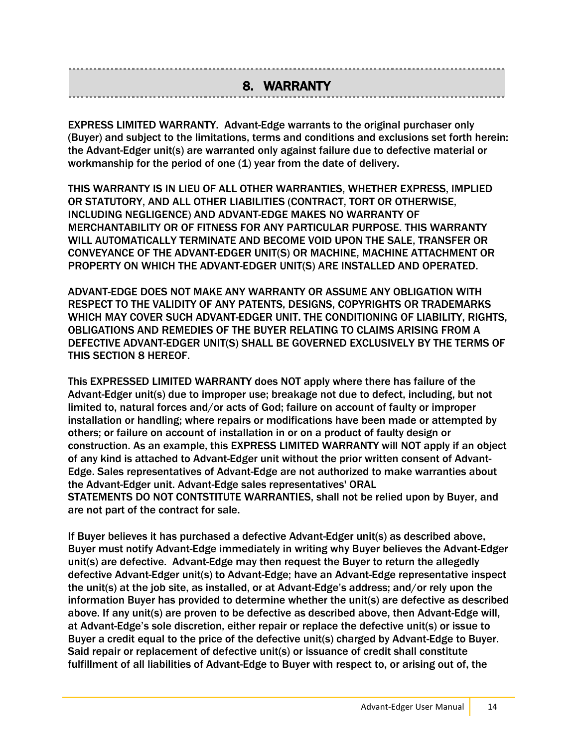### 8. WARRANTY

EXPRESS LIMITED WARRANTY. Advant-Edge warrants to the original purchaser only (Buyer) and subject to the limitations, terms and conditions and exclusions set forth herein: the Advant-Edger unit(s) are warranted only against failure due to defective material or workmanship for the period of one (1) year from the date of delivery.

THIS WARRANTY IS IN LIEU OF ALL OTHER WARRANTIES, WHETHER EXPRESS, IMPLIED OR STATUTORY, AND ALL OTHER LIABILITIES (CONTRACT, TORT OR OTHERWISE, INCLUDING NEGLIGENCE) AND ADVANT-EDGE MAKES NO WARRANTY OF MERCHANTABILITY OR OF FITNESS FOR ANY PARTICULAR PURPOSE. THIS WARRANTY WILL AUTOMATICALLY TERMINATE AND BECOME VOID UPON THE SALE, TRANSFER OR CONVEYANCE OF THE ADVANT-EDGER UNIT(S) OR MACHINE, MACHINE ATTACHMENT OR PROPERTY ON WHICH THE ADVANT-EDGER UNIT(S) ARE INSTALLED AND OPERATED.

ADVANT-EDGE DOES NOT MAKE ANY WARRANTY OR ASSUME ANY OBLIGATION WITH RESPECT TO THE VALIDITY OF ANY PATENTS, DESIGNS, COPYRIGHTS OR TRADEMARKS WHICH MAY COVER SUCH ADVANT-EDGER UNIT. THE CONDITIONING OF LIABILITY, RIGHTS, OBLIGATIONS AND REMEDIES OF THE BUYER RELATING TO CLAIMS ARISING FROM A DEFECTIVE ADVANT-EDGER UNIT(S) SHALL BE GOVERNED EXCLUSIVELY BY THE TERMS OF THIS SECTION 8 HEREOF.

This EXPRESSED LIMITED WARRANTY does NOT apply where there has failure of the Advant-Edger unit(s) due to improper use; breakage not due to defect, including, but not limited to, natural forces and/or acts of God; failure on account of faulty or improper installation or handling; where repairs or modifications have been made or attempted by others; or failure on account of installation in or on a product of faulty design or construction. As an example, this EXPRESS LIMITED WARRANTY will NOT apply if an object of any kind is attached to Advant-Edger unit without the prior written consent of Advant-Edge. Sales representatives of Advant-Edge are not authorized to make warranties about the Advant-Edger unit. Advant-Edge sales representatives' ORAL STATEMENTS DO NOT CONTSTITUTE WARRANTIES, shall not be relied upon by Buyer, and are not part of the contract for sale.

If Buyer believes it has purchased a defective Advant-Edger unit(s) as described above, Buyer must notify Advant-Edge immediately in writing why Buyer believes the Advant-Edger unit(s) are defective. Advant-Edge may then request the Buyer to return the allegedly defective Advant-Edger unit(s) to Advant-Edge; have an Advant-Edge representative inspect the unit(s) at the job site, as installed, or at Advant-Edge's address; and/or rely upon the information Buyer has provided to determine whether the unit(s) are defective as described above. If any unit(s) are proven to be defective as described above, then Advant-Edge will, at Advant-Edge's sole discretion, either repair or replace the defective unit(s) or issue to Buyer a credit equal to the price of the defective unit(s) charged by Advant-Edge to Buyer. Said repair or replacement of defective unit(s) or issuance of credit shall constitute fulfillment of all liabilities of Advant-Edge to Buyer with respect to, or arising out of, the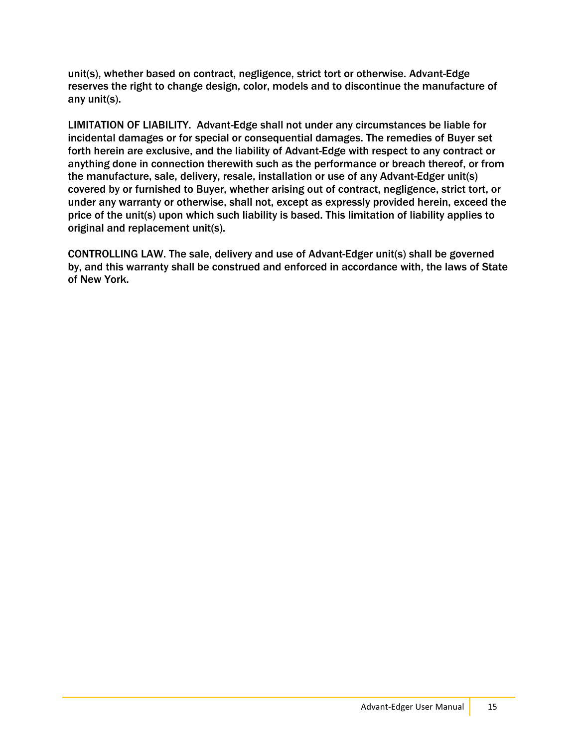unit(s), whether based on contract, negligence, strict tort or otherwise. Advant-Edge reserves the right to change design, color, models and to discontinue the manufacture of any unit(s).

LIMITATION OF LIABILITY. Advant-Edge shall not under any circumstances be liable for incidental damages or for special or consequential damages. The remedies of Buyer set forth herein are exclusive, and the liability of Advant-Edge with respect to any contract or anything done in connection therewith such as the performance or breach thereof, or from the manufacture, sale, delivery, resale, installation or use of any Advant-Edger unit(s) covered by or furnished to Buyer, whether arising out of contract, negligence, strict tort, or under any warranty or otherwise, shall not, except as expressly provided herein, exceed the price of the unit(s) upon which such liability is based. This limitation of liability applies to original and replacement unit(s).

CONTROLLING LAW. The sale, delivery and use of Advant-Edger unit(s) shall be governed by, and this warranty shall be construed and enforced in accordance with, the laws of State of New York.